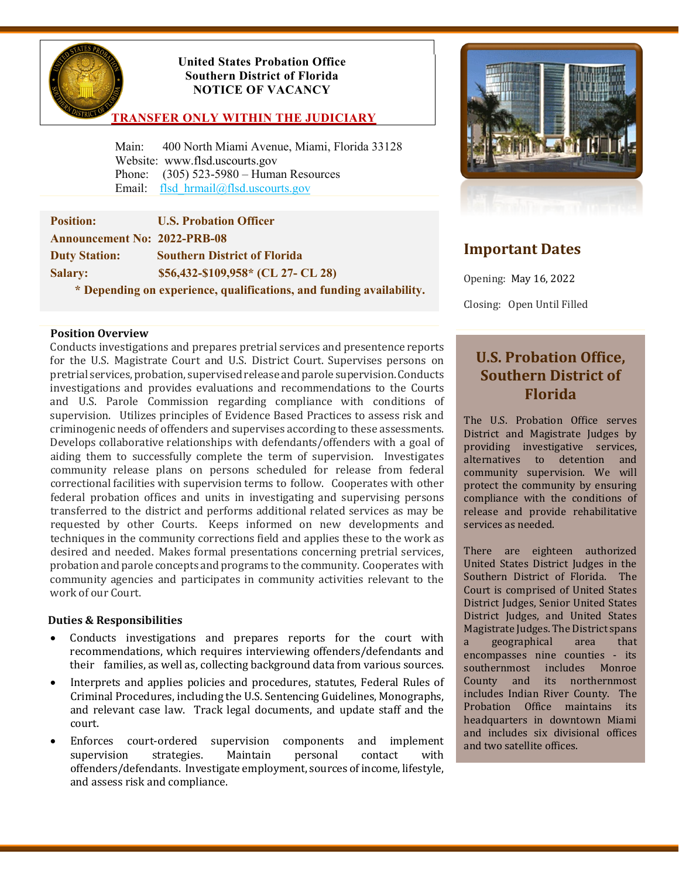

## **United States Probation Office Southern District of Florida NOTICE OF VACANCY**

## **TRANSFER ONLY WITHIN THE JUDICIARY**

 Main: 400 North Miami Avenue, Miami, Florida 33128 Website: [www.flsd.uscourts.gov](http://www.flsd.uscourts.gov/) Phone: (305) 523-5980 – Human Resources Email: flsd hrmail@flsd.uscourts.gov

| <b>Position:</b>                    | <b>U.S. Probation Officer</b>                                     |
|-------------------------------------|-------------------------------------------------------------------|
| <b>Announcement No: 2022-PRB-08</b> |                                                                   |
| <b>Duty Station:</b>                | <b>Southern District of Florida</b>                               |
| <b>Salary:</b>                      | \$56,432-\$109,958* (CL 27- CL 28)                                |
|                                     | * Deparding on experience qualifications, and funding evolutility |

 **\* Depending on experience, qualifications, and funding availability.** 

#### **Position Overview**

Conducts investigations and prepares pretrial services and presentence reports for the U.S. Magistrate Court and U.S. District Court. Supervises persons on pretrial services, probation, supervised release and parole supervision. Conducts investigations and provides evaluations and recommendations to the Courts and U.S. Parole Commission regarding compliance with conditions of supervision. Utilizes principles of Evidence Based Practices to assess risk and criminogenic needs of offenders and supervises according to these assessments. Develops collaborative relationships with defendants/offenders with a goal of aiding them to successfully complete the term of supervision. Investigates community release plans on persons scheduled for release from federal correctional facilities with supervision terms to follow. Cooperates with other federal probation offices and units in investigating and supervising persons transferred to the district and performs additional related services as may be requested by other Courts. Keeps informed on new developments and techniques in the community corrections field and applies these to the work as desired and needed. Makes formal presentations concerning pretrial services, probation and parole concepts and programs to the community. Cooperates with community agencies and participates in community activities relevant to the work of our Court.

### **Duties & Responsibilities**

- Conducts investigations and prepares reports for the court with recommendations, which requires interviewing offenders/defendants and their families, as well as, collecting background data from various sources.
- Interprets and applies policies and procedures, statutes, Federal Rules of Criminal Procedures, including the U.S. Sentencing Guidelines, Monographs, and relevant case law. Track legal documents, and update staff and the court.
- Enforces court-ordered supervision components and implement<br>supervision strategies. Maintain personal contact with supervision strategies. Maintain personal contact with offenders/defendants. Investigate employment, sources of income, lifestyle, and assess risk and compliance.



# **Important Dates**

Opening: May 16, 2022

Closing: Open Until Filled

# **U.S. Probation Office, Southern District of Florida**

The U.S. Probation Office serves District and Magistrate Judges by providing investigative services,<br>alternatives to detention and alternatives to detention community supervision. We will protect the community by ensuring compliance with the conditions of release and provide rehabilitative services as needed.

There are eighteen authorized United States District Judges in the Southern District of Florida. The Court is comprised of United States District Judges, Senior United States District Judges, and United States Magistrate Judges. The District spans<br>a geographical area that geographical encompasses nine counties - its<br>southernmost includes Monroe southernmost includes County and its northernmost includes Indian River County. The Probation Office maintains its headquarters in downtown Miami and includes six divisional offices and two satellite offices.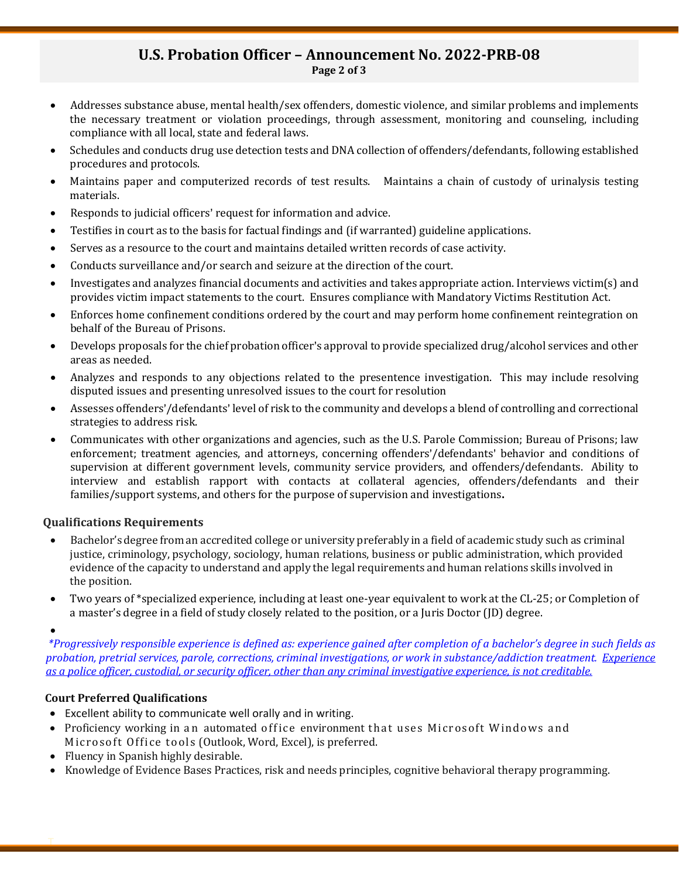## **U.S. Probation Officer – Announcement No. 2022-PRB-08 Page 2 of 3**

- Addresses substance abuse, mental health/sex offenders, domestic violence, and similar problems and implements the necessary treatment or violation proceedings, through assessment, monitoring and counseling, including compliance with all local, state and federal laws.
- Schedules and conducts drug use detection tests and DNA collection of offenders/defendants, following established procedures and protocols.
- Maintains paper and computerized records of test results. Maintains a chain of custody of urinalysis testing materials.
- Responds to judicial officers' request for information and advice.
- Testifies in court as to the basis for factual findings and (if warranted) guideline applications.
- Serves as a resource to the court and maintains detailed written records of case activity.
- Conducts surveillance and/or search and seizure at the direction of the court.
- Investigates and analyzes financial documents and activities and takes appropriate action. Interviews victim(s) and provides victim impact statements to the court. Ensures compliance with Mandatory Victims Restitution Act.
- Enforces home confinement conditions ordered by the court and may perform home confinement reintegration on behalf of the Bureau of Prisons.
- Develops proposals for the chief probation officer's approval to provide specialized drug/alcohol services and other areas as needed.
- Analyzes and responds to any objections related to the presentence investigation. This may include resolving disputed issues and presenting unresolved issues to the court for resolution
- Assesses offenders'/defendants' level of risk to the community and develops a blend of controlling and correctional strategies to address risk.
- Communicates with other organizations and agencies, such as the U.S. Parole Commission; Bureau of Prisons; law enforcement; treatment agencies, and attorneys, concerning offenders'/defendants' behavior and conditions of supervision at different government levels, community service providers, and offenders/defendants. Ability to interview and establish rapport with contacts at collateral agencies, offenders/defendants and their families/support systems, and others for the purpose of supervision and investigations**.**

## **Qualifications Requirements**

- Bachelor's degree from an accredited college or university preferably in a field of academic study such as criminal justice, criminology, psychology, sociology, human relations, business or public administration, which provided evidence of the capacity to understand and apply the legal requirements and human relations skills involved in the position.
- Two years of \*specialized experience, including at least one-year equivalent to work at the CL-25; or Completion of a master's degree in a field of study closely related to the position, or a Juris Doctor (JD) degree.

•

T

*\*Progressively responsible experience is defined as: experience gained after completion of a bachelor's degree in such fields as probation, pretrial services, parole, corrections, criminal investigations, or work in substance/addiction treatment. Experience as a police officer, custodial, or security officer, other than any criminal investigative experience, is not creditable.*

## **Court Preferred Qualifications**

- Excellent ability to communicate well orally and in writing.
- Proficiency working in an automated office environment that uses Microsoft Windows and Microsoft Office tools (Outlook, Word, Excel), is preferred.
- Fluency in Spanish highly desirable.
- Knowledge of Evidence Bases Practices, risk and needs principles, cognitive behavioral therapy programming.